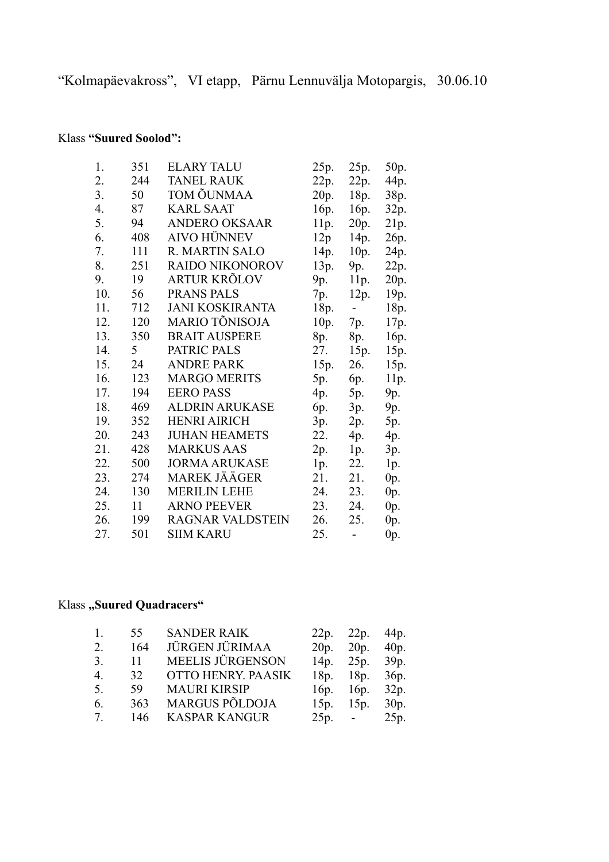"Kolmapäevakross", VI etapp, Pärnu Lennuvälja Motopargis, 30.06.10

## Klass **"Suured Soolod":**

| 1.  | 351 | <b>ELARY TALU</b>       | 25p. | 25p.                         | 50p.             |
|-----|-----|-------------------------|------|------------------------------|------------------|
| 2.  | 244 | <b>TANEL RAUK</b>       | 22p. | 22p.                         | 44p.             |
| 3.  | 50  | TOM ÕUNMAA              | 20p. | 18p.                         | 38p.             |
| 4.  | 87  | <b>KARL SAAT</b>        | 16p. | 16p.                         | 32p.             |
| 5.  | 94  | <b>ANDERO OKSAAR</b>    | 11p. | 20p.                         | 21p.             |
| 6.  | 408 | <b>AIVO HÜNNEV</b>      | 12p  | 14p.                         | 26p.             |
| 7.  | 111 | <b>R. MARTIN SALO</b>   | 14p. | 10p.                         | 24p.             |
| 8.  | 251 | <b>RAIDO NIKONOROV</b>  | 13p. | 9p.                          | 22p.             |
| 9.  | 19  | <b>ARTUR KRÕLOV</b>     | 9p.  | 11p.                         | 20p.             |
| 10. | 56  | PRANS PALS              | 7p.  | 12p.                         | 19 <sub>p.</sub> |
| 11. | 712 | <b>JANI KOSKIRANTA</b>  | 18p. | $\sim$                       | 18p.             |
| 12. | 120 | MARIO TÕNISOJA          | 10p. | 7p.                          | 17p.             |
| 13. | 350 | <b>BRAIT AUSPERE</b>    | 8p.  | 8p.                          | 16p.             |
| 14. | 5   | PATRIC PALS             | 27.  | 15p.                         | 15p.             |
| 15. | 24  | <b>ANDRE PARK</b>       | 15p. | 26.                          | 15p.             |
| 16. | 123 | <b>MARGO MERITS</b>     | 5p.  | 6p.                          | 11p.             |
| 17. | 194 | <b>EERO PASS</b>        | 4p.  | 5p.                          | 9p.              |
| 18. | 469 | <b>ALDRIN ARUKASE</b>   | 6p.  | 3p.                          | 9p.              |
| 19. | 352 | <b>HENRI AIRICH</b>     | 3p.  | 2p.                          | 5p.              |
| 20. | 243 | <b>JUHAN HEAMETS</b>    | 22.  | 4p.                          | 4p.              |
| 21. | 428 | <b>MARKUS AAS</b>       | 2p.  | 1p.                          | 3p.              |
| 22. | 500 | <b>JORMA ARUKASE</b>    | 1p.  | 22.                          | 1p.              |
| 23. | 274 | <b>MAREK JÄÄGER</b>     | 21.  | 21.                          | 0p.              |
| 24. | 130 | <b>MERILIN LEHE</b>     | 24.  | 23.                          | $0p$ .           |
| 25. | 11  | <b>ARNO PEEVER</b>      | 23.  | 24.                          | 0p.              |
| 26. | 199 | <b>RAGNAR VALDSTEIN</b> | 26.  | 25.                          | $0p$ .           |
| 27. | 501 | <b>SIIM KARU</b>        | 25.  | $\qquad \qquad \blacksquare$ | 0p.              |

## **Klass** "Suured Quadracers"

| $\mathbf{1}$     | 55  | <b>SANDER RAIK</b>      | 22p.            | 22p. 44p.        |      |
|------------------|-----|-------------------------|-----------------|------------------|------|
| 2.               | 164 | JÜRGEN JÜRIMAA          | 20p.            | 20p. 40p.        |      |
| 3 <sub>1</sub>   | 11  | <b>MEELIS JÜRGENSON</b> |                 | 14p. $25p. 39p.$ |      |
| $\overline{4}$ . | 32  | OTTO HENRY. PAASIK      | 18p.            | 18p.             | 36p. |
| 5.               | 59  | <b>MAURI KIRSIP</b>     | 16 <sub>p</sub> | 16p.             | 32p. |
| 6.               | 363 | <b>MARGUS PÕLDOJA</b>   | 15p.            | 15p.             | 30p. |
| $7\degree$       | 146 | <b>KASPAR KANGUR</b>    |                 | $25p. -$         | 25p. |
|                  |     |                         |                 |                  |      |